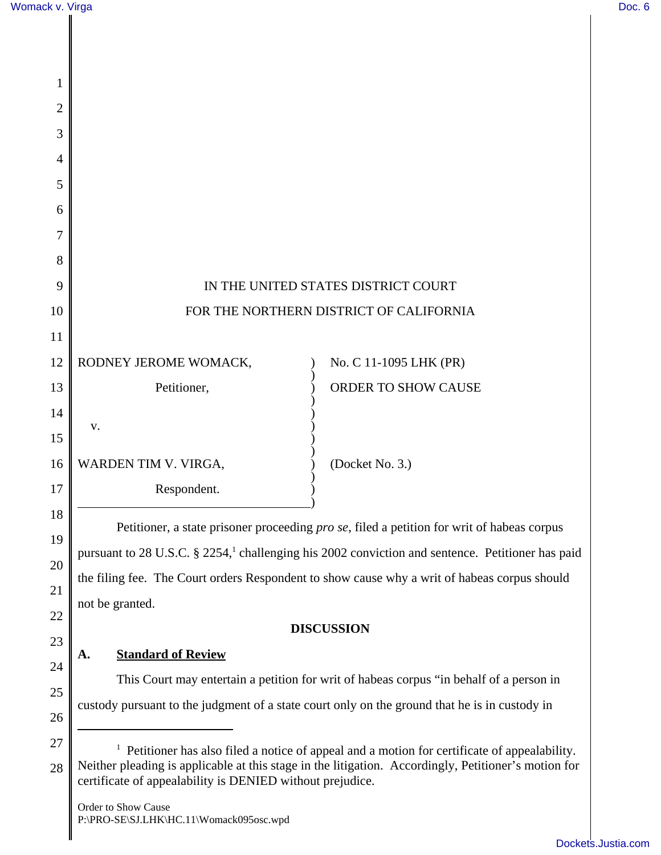26

| 1              |                                                                                                              |                        |
|----------------|--------------------------------------------------------------------------------------------------------------|------------------------|
| $\overline{2}$ |                                                                                                              |                        |
| 3              |                                                                                                              |                        |
| 4              |                                                                                                              |                        |
| 5              |                                                                                                              |                        |
| 6              |                                                                                                              |                        |
| 7              |                                                                                                              |                        |
| 8              |                                                                                                              |                        |
| 9              | IN THE UNITED STATES DISTRICT COURT                                                                          |                        |
| 10             | FOR THE NORTHERN DISTRICT OF CALIFORNIA                                                                      |                        |
| 11             |                                                                                                              |                        |
| 12             | RODNEY JEROME WOMACK,                                                                                        | No. C 11-1095 LHK (PR) |
| 13             | Petitioner,                                                                                                  | ORDER TO SHOW CAUSE    |
| 14             | v.                                                                                                           |                        |
| 15             |                                                                                                              |                        |
| 16             | WARDEN TIM V. VIRGA,                                                                                         | (Docket No. 3.)        |
| 17             | Respondent.                                                                                                  |                        |
| 18             | Petitioner, a state prisoner proceeding pro se, filed a petition for writ of habeas corpus                   |                        |
| 19             | pursuant to 28 U.S.C. § 2254, <sup>1</sup> challenging his 2002 conviction and sentence. Petitioner has paid |                        |
| 20             | the filing fee. The Court orders Respondent to show cause why a writ of habeas corpus should                 |                        |
| 21<br>22       | not be granted.                                                                                              |                        |
| 23             |                                                                                                              | <b>DISCUSSION</b>      |
| 24             | <b>Standard of Review</b><br>A.                                                                              |                        |
| 25             | This Court may entertain a petition for writ of habeas corpus "in behalf of a person in                      |                        |
|                | custody pursuant to the judgment of a state court only on the ground that he is in custody in                |                        |

<sup>27</sup> 28 <sup>1</sup> Petitioner has also filed a notice of appeal and a motion for certificate of appealability. Neither pleading is applicable at this stage in the litigation. Accordingly, Petitioner's motion for certificate of appealability is DENIED without prejudice.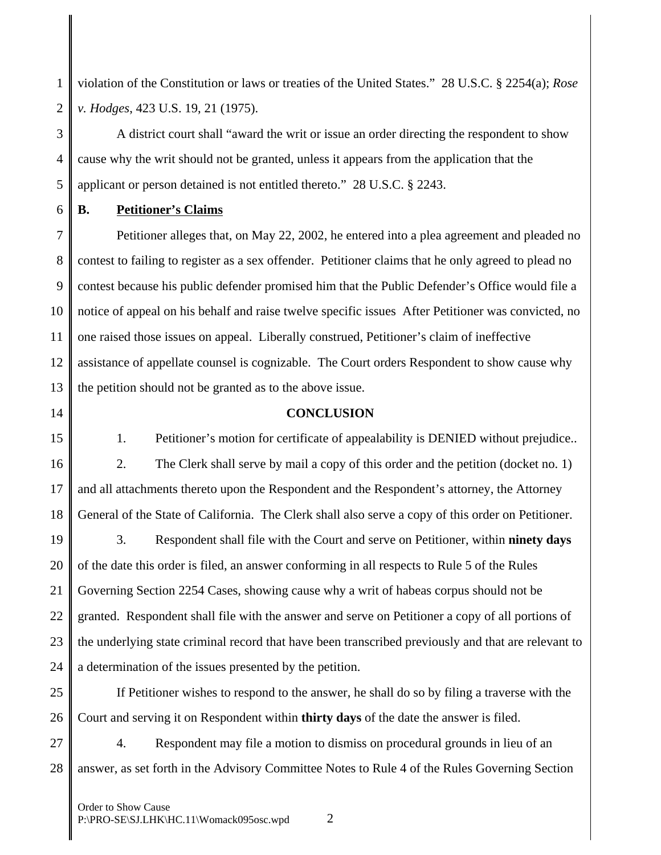1 2 violation of the Constitution or laws or treaties of the United States." 28 U.S.C. § 2254(a); *Rose v. Hodges*, 423 U.S. 19, 21 (1975).

3 4 5 A district court shall "award the writ or issue an order directing the respondent to show cause why the writ should not be granted, unless it appears from the application that the applicant or person detained is not entitled thereto." 28 U.S.C. § 2243.

6 **B. Petitioner's Claims**

7 8 9 10 11 12 13 Petitioner alleges that, on May 22, 2002, he entered into a plea agreement and pleaded no contest to failing to register as a sex offender. Petitioner claims that he only agreed to plead no contest because his public defender promised him that the Public Defender's Office would file a notice of appeal on his behalf and raise twelve specific issues After Petitioner was convicted, no one raised those issues on appeal. Liberally construed, Petitioner's claim of ineffective assistance of appellate counsel is cognizable. The Court orders Respondent to show cause why the petition should not be granted as to the above issue.

14

## **CONCLUSION**

15 16 17 1. Petitioner's motion for certificate of appealability is DENIED without prejudice.. 2. The Clerk shall serve by mail a copy of this order and the petition (docket no. 1) and all attachments thereto upon the Respondent and the Respondent's attorney, the Attorney

18 General of the State of California. The Clerk shall also serve a copy of this order on Petitioner.

19 20 21 22 23 24 3. Respondent shall file with the Court and serve on Petitioner, within **ninety days** of the date this order is filed, an answer conforming in all respects to Rule 5 of the Rules Governing Section 2254 Cases, showing cause why a writ of habeas corpus should not be granted. Respondent shall file with the answer and serve on Petitioner a copy of all portions of the underlying state criminal record that have been transcribed previously and that are relevant to a determination of the issues presented by the petition.

25 26 If Petitioner wishes to respond to the answer, he shall do so by filing a traverse with the Court and serving it on Respondent within **thirty days** of the date the answer is filed.

27 28 4. Respondent may file a motion to dismiss on procedural grounds in lieu of an answer, as set forth in the Advisory Committee Notes to Rule 4 of the Rules Governing Section

Order to Show Cause P:\PRO-SE\SJ.LHK\HC.11\Womack095osc.wpd 2